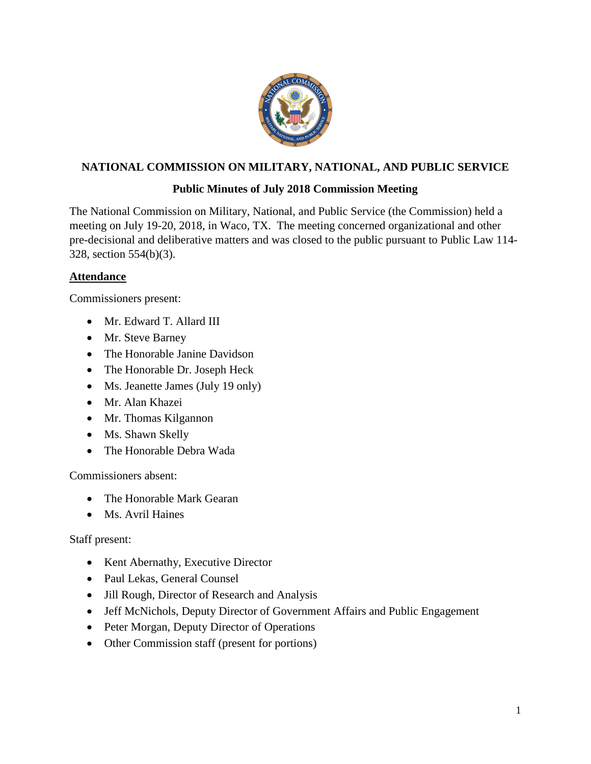

# **NATIONAL COMMISSION ON MILITARY, NATIONAL, AND PUBLIC SERVICE**

# **Public Minutes of July 2018 Commission Meeting**

The National Commission on Military, National, and Public Service (the Commission) held a meeting on July 19-20, 2018, in Waco, TX. The meeting concerned organizational and other pre-decisional and deliberative matters and was closed to the public pursuant to Public Law 114- 328, section 554(b)(3).

## **Attendance**

Commissioners present:

- Mr. Edward T. Allard III
- Mr. Steve Barney
- The Honorable Janine Davidson
- The Honorable Dr. Joseph Heck
- Ms. Jeanette James (July 19 only)
- Mr. Alan Khazei
- Mr. Thomas Kilgannon
- Ms. Shawn Skelly
- The Honorable Debra Wada

Commissioners absent:

- The Honorable Mark Gearan
- Ms. Avril Haines

Staff present:

- Kent Abernathy, Executive Director
- Paul Lekas, General Counsel
- Jill Rough, Director of Research and Analysis
- Jeff McNichols, Deputy Director of Government Affairs and Public Engagement
- Peter Morgan, Deputy Director of Operations
- Other Commission staff (present for portions)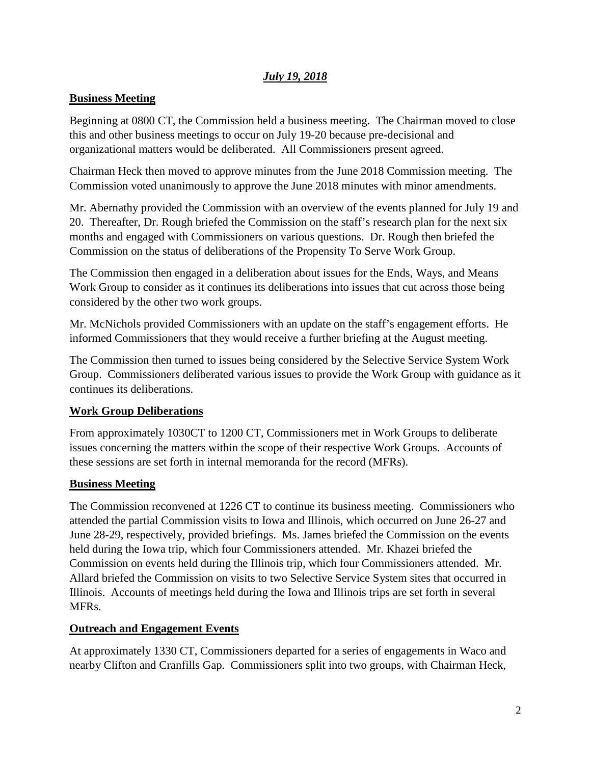## *July 19, 2018*

#### **Business Meeting**

Beginning at 0800 CT, the Commission held a business meeting. The Chairman moved to close this and other business meetings to occur on July 19-20 because pre-decisional and organizational matters would be deliberated. All Commissioners present agreed.

Chairman Heck then moved to approve minutes from the June 2018 Commission meeting. The Commission voted unanimously to approve the June 2018 minutes with minor amendments.

Mr. Abernathy provided the Commission with an overview of the events planned for July 19 and 20. Thereafter, Dr. Rough briefed the Commission on the staff's research plan for the next six months and engaged with Commissioners on various questions. Dr. Rough then briefed the Commission on the status of deliberations of the Propensity To Serve Work Group.

The Commission then engaged in a deliberation about issues for the Ends, Ways, and Means Work Group to consider as it continues its deliberations into issues that cut across those being considered by the other two work groups.

Mr. McNichols provided Commissioners with an update on the staff's engagement efforts. He informed Commissioners that they would receive a further briefing at the August meeting.

The Commission then turned to issues being considered by the Selective Service System Work Group. Commissioners deliberated various issues to provide the Work Group with guidance as it continues its deliberations.

## **Work Group Deliberations**

From approximately 1030CT to 1200 CT, Commissioners met in Work Groups to deliberate issues concerning the matters within the scope of their respective Work Groups. Accounts of these sessions are set forth in internal memoranda for the record (MFRs).

#### **Business Meeting**

The Commission reconvened at 1226 CT to continue its business meeting. Commissioners who attended the partial Commission visits to Iowa and Illinois, which occurred on June 26-27 and June 28-29, respectively, provided briefings. Ms. James briefed the Commission on the events held during the Iowa trip, which four Commissioners attended. Mr. Khazei briefed the Commission on events held during the Illinois trip, which four Commissioners attended. Mr. Allard briefed the Commission on visits to two Selective Service System sites that occurred in Illinois. Accounts of meetings held during the Iowa and Illinois trips are set forth in several MFRs.

#### **Outreach and Engagement Events**

At approximately 1330 CT, Commissioners departed for a series of engagements in Waco and nearby Clifton and Cranfills Gap. Commissioners split into two groups, with Chairman Heck,